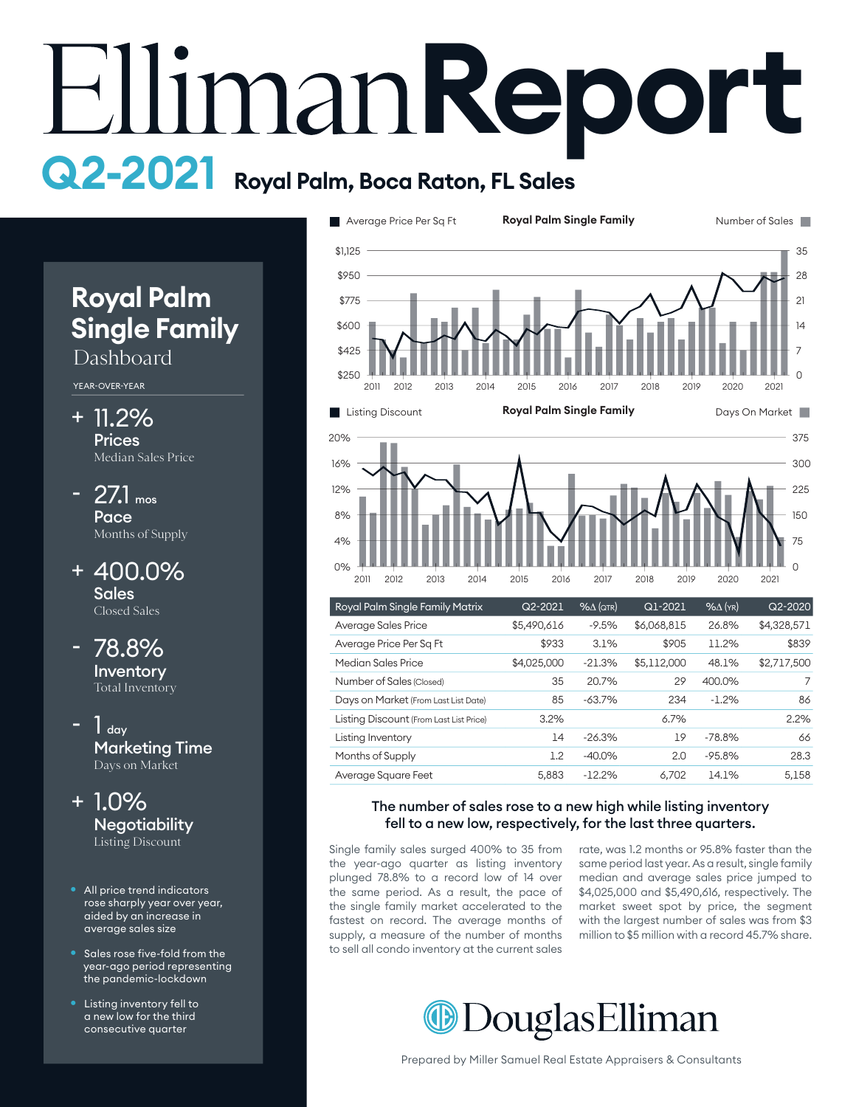# **Report Q2-2021 Royal Palm, Boca Raton, FL Sales**

# **Royal Palm Single Family**

## Dashboard

YEAR-OVER-YEAR

- 11.2% + **Prices** Median Sales Price
- $27.1$  mos **Pace** Months of Supply
- 400.0% + Sales Closed Sales

### 78.8% Inventory Total Inventory

 $1<sub>day</sub>$ Marketing Time Days on Market



- All price trend indicators rose sharply year over year, aided by an increase in average sales size
- Sales rose five-fold from the year-ago period representing the pandemic-lockdown
- Listing inventory fell to a new low for the third consecutive quarter



| 2011                                    | 2012 | 2013 | 2014 | 2015        | 2016    | 2017                | 2018        | 2019    | 2020              | 2021        |
|-----------------------------------------|------|------|------|-------------|---------|---------------------|-------------|---------|-------------------|-------------|
| Royal Palm Single Family Matrix         |      |      |      |             | Q2-2021 | $% \triangle (QTR)$ |             | Q1-2021 | $%$ $\Delta$ (YR) | $Q2 - 2020$ |
| Average Sales Price                     |      |      |      | \$5,490,616 |         | $-9.5%$             | \$6,068,815 |         | 26.8%             | \$4,328,571 |
| Average Price Per Sq Ft                 |      |      |      |             | \$933   | 3.1%                |             | \$905   | 11.2%             | \$839       |
| Median Sales Price                      |      |      |      | \$4,025,000 |         | $-21.3%$            | \$5,112,000 |         | 48.1%             | \$2,717,500 |
| Number of Sales (Closed)                |      |      |      |             | 35      | 20.7%               |             | 29      | 400.0%            | 7           |
| Days on Market (From Last List Date)    |      |      |      |             | 85      | $-63.7%$            |             | 234     | $-1.2%$           | 86          |
| Listing Discount (From Last List Price) |      |      |      |             | 3.2%    |                     |             | 6.7%    |                   | 2.2%        |
| Listing Inventory                       |      |      |      |             | 14      | $-26.3%$            |             | 19      | $-78.8%$          | 66          |
| Months of Supply                        |      |      |      |             | 1.2     | $-40.0\%$           |             | 2.0     | $-95.8%$          | 28.3        |
| Average Square Feet                     |      |      |      |             | 5,883   | $-12.2%$            |             | 6,702   | 14.1%             | 5,158       |

### The number of sales rose to a new high while listing inventory fell to a new low, respectively, for the last three quarters.

Single family sales surged 400% to 35 from the year-ago quarter as listing inventory plunged 78.8% to a record low of 14 over the same period. As a result, the pace of the single family market accelerated to the fastest on record. The average months of supply, a measure of the number of months to sell all condo inventory at the current sales

 $0%$ 

rate, was 1.2 months or 95.8% faster than the same period last year. As a result, single family median and average sales price jumped to \$4,025,000 and \$5,490,616, respectively. The market sweet spot by price, the segment with the largest number of sales was from \$3 million to \$5 million with a record 45.7% share.

 $\Omega$